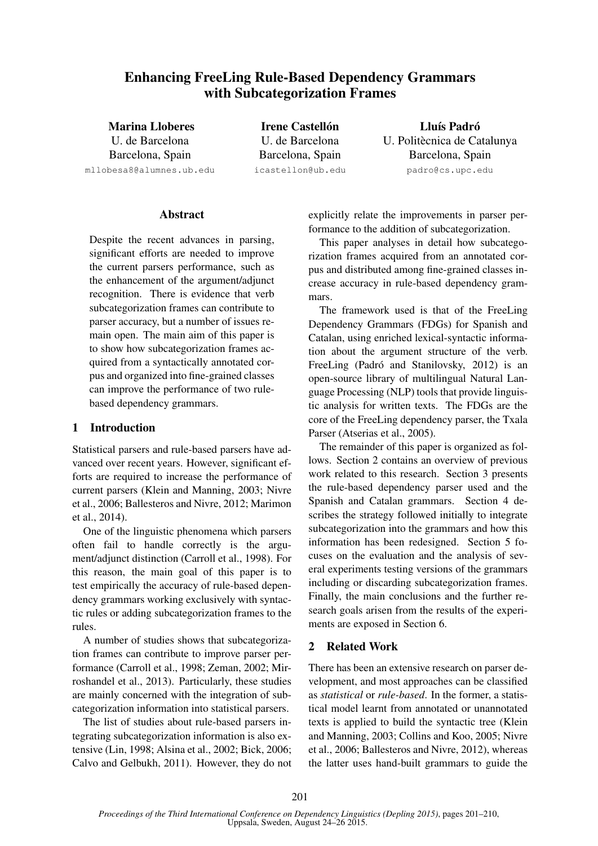# Enhancing FreeLing Rule-Based Dependency Grammars with Subcategorization Frames

Marina Lloberes U. de Barcelona Barcelona, Spain mllobesa8@alumnes.ub.edu

**Irene Castellón** U. de Barcelona Barcelona, Spain icastellon@ub.edu

## Lluís Padró U. Politècnica de Catalunya Barcelona, Spain padro@cs.upc.edu

### Abstract

Despite the recent advances in parsing, significant efforts are needed to improve the current parsers performance, such as the enhancement of the argument/adjunct recognition. There is evidence that verb subcategorization frames can contribute to parser accuracy, but a number of issues remain open. The main aim of this paper is to show how subcategorization frames acquired from a syntactically annotated corpus and organized into fine-grained classes can improve the performance of two rulebased dependency grammars.

### 1 Introduction

Statistical parsers and rule-based parsers have advanced over recent years. However, significant efforts are required to increase the performance of current parsers (Klein and Manning, 2003; Nivre et al., 2006; Ballesteros and Nivre, 2012; Marimon et al., 2014).

One of the linguistic phenomena which parsers often fail to handle correctly is the argument/adjunct distinction (Carroll et al., 1998). For this reason, the main goal of this paper is to test empirically the accuracy of rule-based dependency grammars working exclusively with syntactic rules or adding subcategorization frames to the rules.

A number of studies shows that subcategorization frames can contribute to improve parser performance (Carroll et al., 1998; Zeman, 2002; Mirroshandel et al., 2013). Particularly, these studies are mainly concerned with the integration of subcategorization information into statistical parsers.

The list of studies about rule-based parsers integrating subcategorization information is also extensive (Lin, 1998; Alsina et al., 2002; Bick, 2006; Calvo and Gelbukh, 2011). However, they do not explicitly relate the improvements in parser performance to the addition of subcategorization.

This paper analyses in detail how subcategorization frames acquired from an annotated corpus and distributed among fine-grained classes increase accuracy in rule-based dependency grammars.

The framework used is that of the FreeLing Dependency Grammars (FDGs) for Spanish and Catalan, using enriched lexical-syntactic information about the argument structure of the verb. FreeLing (Padró and Stanilovsky, 2012) is an open-source library of multilingual Natural Language Processing (NLP) tools that provide linguistic analysis for written texts. The FDGs are the core of the FreeLing dependency parser, the Txala Parser (Atserias et al., 2005).

The remainder of this paper is organized as follows. Section 2 contains an overview of previous work related to this research. Section 3 presents the rule-based dependency parser used and the Spanish and Catalan grammars. Section 4 describes the strategy followed initially to integrate subcategorization into the grammars and how this information has been redesigned. Section 5 focuses on the evaluation and the analysis of several experiments testing versions of the grammars including or discarding subcategorization frames. Finally, the main conclusions and the further research goals arisen from the results of the experiments are exposed in Section 6.

### 2 Related Work

There has been an extensive research on parser development, and most approaches can be classified as *statistical* or *rule-based*. In the former, a statistical model learnt from annotated or unannotated texts is applied to build the syntactic tree (Klein and Manning, 2003; Collins and Koo, 2005; Nivre et al., 2006; Ballesteros and Nivre, 2012), whereas the latter uses hand-built grammars to guide the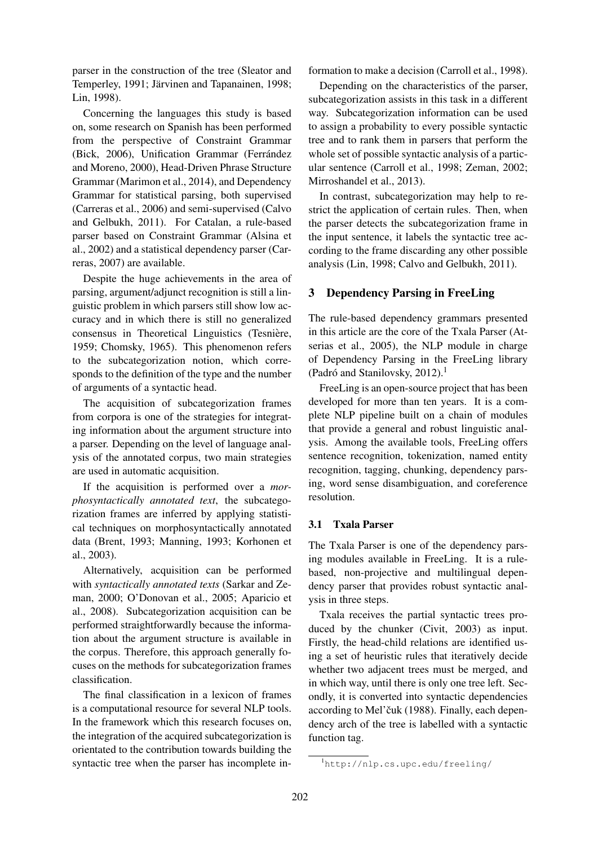parser in the construction of the tree (Sleator and Temperley, 1991; Järvinen and Tapanainen, 1998; Lin, 1998).

Concerning the languages this study is based on, some research on Spanish has been performed from the perspective of Constraint Grammar (Bick, 2006), Unification Grammar (Ferrández and Moreno, 2000), Head-Driven Phrase Structure Grammar (Marimon et al., 2014), and Dependency Grammar for statistical parsing, both supervised (Carreras et al., 2006) and semi-supervised (Calvo and Gelbukh, 2011). For Catalan, a rule-based parser based on Constraint Grammar (Alsina et al., 2002) and a statistical dependency parser (Carreras, 2007) are available.

Despite the huge achievements in the area of parsing, argument/adjunct recognition is still a linguistic problem in which parsers still show low accuracy and in which there is still no generalized consensus in Theoretical Linguistics (Tesniere, ` 1959; Chomsky, 1965). This phenomenon refers to the subcategorization notion, which corresponds to the definition of the type and the number of arguments of a syntactic head.

The acquisition of subcategorization frames from corpora is one of the strategies for integrating information about the argument structure into a parser. Depending on the level of language analysis of the annotated corpus, two main strategies are used in automatic acquisition.

If the acquisition is performed over a *morphosyntactically annotated text*, the subcategorization frames are inferred by applying statistical techniques on morphosyntactically annotated data (Brent, 1993; Manning, 1993; Korhonen et al., 2003).

Alternatively, acquisition can be performed with *syntactically annotated texts* (Sarkar and Zeman, 2000; O'Donovan et al., 2005; Aparicio et al., 2008). Subcategorization acquisition can be performed straightforwardly because the information about the argument structure is available in the corpus. Therefore, this approach generally focuses on the methods for subcategorization frames classification.

The final classification in a lexicon of frames is a computational resource for several NLP tools. In the framework which this research focuses on, the integration of the acquired subcategorization is orientated to the contribution towards building the syntactic tree when the parser has incomplete information to make a decision (Carroll et al., 1998).

Depending on the characteristics of the parser, subcategorization assists in this task in a different way. Subcategorization information can be used to assign a probability to every possible syntactic tree and to rank them in parsers that perform the whole set of possible syntactic analysis of a particular sentence (Carroll et al., 1998; Zeman, 2002; Mirroshandel et al., 2013).

In contrast, subcategorization may help to restrict the application of certain rules. Then, when the parser detects the subcategorization frame in the input sentence, it labels the syntactic tree according to the frame discarding any other possible analysis (Lin, 1998; Calvo and Gelbukh, 2011).

## 3 Dependency Parsing in FreeLing

The rule-based dependency grammars presented in this article are the core of the Txala Parser (Atserias et al., 2005), the NLP module in charge of Dependency Parsing in the FreeLing library (Padró and Stanilovsky, 2012).<sup>1</sup>

FreeLing is an open-source project that has been developed for more than ten years. It is a complete NLP pipeline built on a chain of modules that provide a general and robust linguistic analysis. Among the available tools, FreeLing offers sentence recognition, tokenization, named entity recognition, tagging, chunking, dependency parsing, word sense disambiguation, and coreference resolution.

### 3.1 Txala Parser

The Txala Parser is one of the dependency parsing modules available in FreeLing. It is a rulebased, non-projective and multilingual dependency parser that provides robust syntactic analysis in three steps.

Txala receives the partial syntactic trees produced by the chunker (Civit, 2003) as input. Firstly, the head-child relations are identified using a set of heuristic rules that iteratively decide whether two adjacent trees must be merged, and in which way, until there is only one tree left. Secondly, it is converted into syntactic dependencies according to Mel'čuk (1988). Finally, each dependency arch of the tree is labelled with a syntactic function tag.

<sup>1</sup>http://nlp.cs.upc.edu/freeling/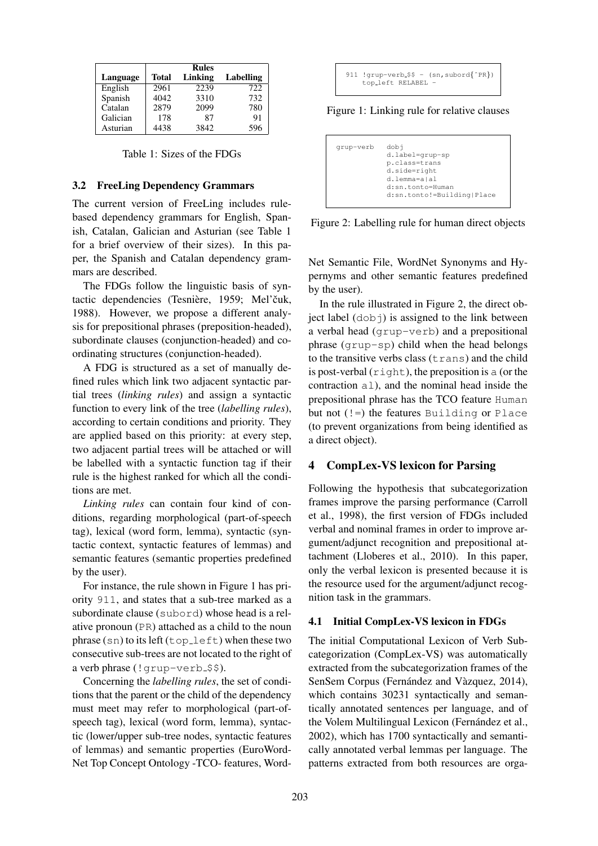|          | <b>Rules</b> |         |           |
|----------|--------------|---------|-----------|
| Language | Total        | Linking | Labelling |
| English  | 2961         | 2239    | 722       |
| Spanish  | 4042         | 3310    | 732       |
| Catalan  | 2879         | 2099    | 780       |
| Galician | 178          | 87      | 91        |
| Asturian | 4438         | 3842    | 596       |

Table 1: Sizes of the FDGs

#### 3.2 FreeLing Dependency Grammars

The current version of FreeLing includes rulebased dependency grammars for English, Spanish, Catalan, Galician and Asturian (see Table 1 for a brief overview of their sizes). In this paper, the Spanish and Catalan dependency grammars are described.

The FDGs follow the linguistic basis of syntactic dependencies (Tesnière, 1959; Mel'čuk, 1988). However, we propose a different analysis for prepositional phrases (preposition-headed), subordinate clauses (conjunction-headed) and coordinating structures (conjunction-headed).

A FDG is structured as a set of manually defined rules which link two adjacent syntactic partial trees (*linking rules*) and assign a syntactic function to every link of the tree (*labelling rules*), according to certain conditions and priority. They are applied based on this priority: at every step, two adjacent partial trees will be attached or will be labelled with a syntactic function tag if their rule is the highest ranked for which all the conditions are met.

*Linking rules* can contain four kind of conditions, regarding morphological (part-of-speech tag), lexical (word form, lemma), syntactic (syntactic context, syntactic features of lemmas) and semantic features (semantic properties predefined by the user).

For instance, the rule shown in Figure 1 has priority 911, and states that a sub-tree marked as a subordinate clause (subord) whose head is a relative pronoun (PR) attached as a child to the noun phrase  $(\text{sn})$  to its left  $(\text{top-left})$  when these two consecutive sub-trees are not located to the right of a verb phrase  $($ ! grup-verb  $$$ \$).

Concerning the *labelling rules*, the set of conditions that the parent or the child of the dependency must meet may refer to morphological (part-ofspeech tag), lexical (word form, lemma), syntactic (lower/upper sub-tree nodes, syntactic features of lemmas) and semantic properties (EuroWord-Net Top Concept Ontology -TCO- features, Word-

```
911 !qrup-verb $ = (sn, subord{^pR})top left RELABEL -
```
Figure 1: Linking rule for relative clauses

```
grup-verb dobj
            d.label=grup-sp
            p.class=trans
            d.side=right
            d.lemma=a|al
            d:sn.tonto=Human
            d:sn.tonto!=Building|Place
```
Figure 2: Labelling rule for human direct objects

Net Semantic File, WordNet Synonyms and Hypernyms and other semantic features predefined by the user).

In the rule illustrated in Figure 2, the direct object label  $(d \circ b)$  is assigned to the link between a verbal head (grup-verb) and a prepositional phrase (grup-sp) child when the head belongs to the transitive verbs class  $(t_{\text{rans}})$  and the child is post-verbal  $(r \text{ right})$ , the preposition is a (or the contraction al), and the nominal head inside the prepositional phrase has the TCO feature Human but not (!=) the features Building or Place (to prevent organizations from being identified as a direct object).

#### 4 CompLex-VS lexicon for Parsing

Following the hypothesis that subcategorization frames improve the parsing performance (Carroll et al., 1998), the first version of FDGs included verbal and nominal frames in order to improve argument/adjunct recognition and prepositional attachment (Lloberes et al., 2010). In this paper, only the verbal lexicon is presented because it is the resource used for the argument/adjunct recognition task in the grammars.

### 4.1 Initial CompLex-VS lexicon in FDGs

The initial Computational Lexicon of Verb Subcategorization (CompLex-VS) was automatically extracted from the subcategorization frames of the SenSem Corpus (Fernández and Vàzquez, 2014), which contains 30231 syntactically and semantically annotated sentences per language, and of the Volem Multilingual Lexicon (Fernández et al., 2002), which has 1700 syntactically and semantically annotated verbal lemmas per language. The patterns extracted from both resources are orga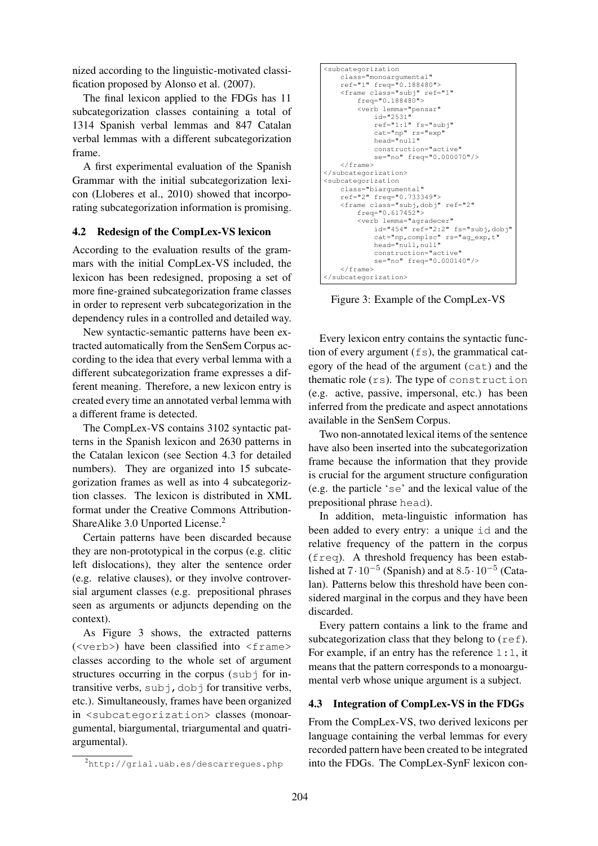nized according to the linguistic-motivated classification proposed by Alonso et al. (2007).

The final lexicon applied to the FDGs has 11 subcategorization classes containing a total of 1314 Spanish verbal lemmas and 847 Catalan verbal lemmas with a different subcategorization frame.

A first experimental evaluation of the Spanish Grammar with the initial subcategorization lexicon (Lloberes et al., 2010) showed that incorporating subcategorization information is promising.

### 4.2 Redesign of the CompLex-VS lexicon

According to the evaluation results of the grammars with the initial CompLex-VS included, the lexicon has been redesigned, proposing a set of more fine-grained subcategorization frame classes in order to represent verb subcategorization in the dependency rules in a controlled and detailed way.

New syntactic-semantic patterns have been extracted automatically from the SenSem Corpus according to the idea that every verbal lemma with a different subcategorization frame expresses a different meaning. Therefore, a new lexicon entry is created every time an annotated verbal lemma with a different frame is detected.

The CompLex-VS contains 3102 syntactic patterns in the Spanish lexicon and 2630 patterns in the Catalan lexicon (see Section 4.3 for detailed numbers). They are organized into 15 subcategorization frames as well as into 4 subcategoriztion classes. The lexicon is distributed in XML format under the Creative Commons Attribution-ShareAlike 3.0 Unported License.<sup>2</sup>

Certain patterns have been discarded because they are non-prototypical in the corpus (e.g. clitic left dislocations), they alter the sentence order (e.g. relative clauses), or they involve controversial argument classes (e.g. prepositional phrases seen as arguments or adjuncts depending on the context).

As Figure 3 shows, the extracted patterns  $(\langle \text{verb}\rangle)$  have been classified into  $\langle \text{frame}\rangle$ classes according to the whole set of argument structures occurring in the corpus (subj for intransitive verbs,  $\text{sub}$   $\uparrow$ ,  $\text{dobj}$  for transitive verbs, etc.). Simultaneously, frames have been organized in <subcategorization> classes (monoargumental, biargumental, triargumental and quatriargumental).

```
<subcategorization
    class="monoargumental"
     ref="1" freq="0.188480">
<frame class="subj" ref="1"
         freq="0.188480">
         <verb lemma="pensar"
id="2531"
              ref="1:1" fs="subj"
              cat="np" rs="exp"
              head="null"
              construction="active"
              se="no" freq="0.000070"/>
    </frame>
</subcategorization>
<subcategorization
    class="biargumental"
     ref="2" freq="0.733349">
<frame class="subj,dobj" ref="2"
         freq="0.617452">
         <verb lemma="agradecer"
              id="454" ref="2:2" fs="subj,dobj"
              cat="np,complsc" rs="ag_exp,t"
head="null,null"
              construction="active"
              se="no" freq="0.000140"/>
    </frame>
</subcategorization>
```
Figure 3: Example of the CompLex-VS

Every lexicon entry contains the syntactic function of every argument  $(f_s)$ , the grammatical category of the head of the argument (cat) and the thematic role (rs). The type of construction (e.g. active, passive, impersonal, etc.) has been inferred from the predicate and aspect annotations available in the SenSem Corpus.

Two non-annotated lexical items of the sentence have also been inserted into the subcategorization frame because the information that they provide is crucial for the argument structure configuration (e.g. the particle 'se' and the lexical value of the prepositional phrase head).

In addition, meta-linguistic information has been added to every entry: a unique id and the relative frequency of the pattern in the corpus  $(freq)$ . A threshold frequency has been established at  $7 \cdot 10^{-5}$  (Spanish) and at  $8.5 \cdot 10^{-5}$  (Catalan). Patterns below this threshold have been considered marginal in the corpus and they have been discarded.

Every pattern contains a link to the frame and subcategorization class that they belong to  $(r \in f)$ . For example, if an entry has the reference  $1:1$ , it means that the pattern corresponds to a monoargumental verb whose unique argument is a subject.

#### 4.3 Integration of CompLex-VS in the FDGs

From the CompLex-VS, two derived lexicons per language containing the verbal lemmas for every recorded pattern have been created to be integrated into the FDGs. The CompLex-SynF lexicon con-

<sup>2</sup>http://grial.uab.es/descarregues.php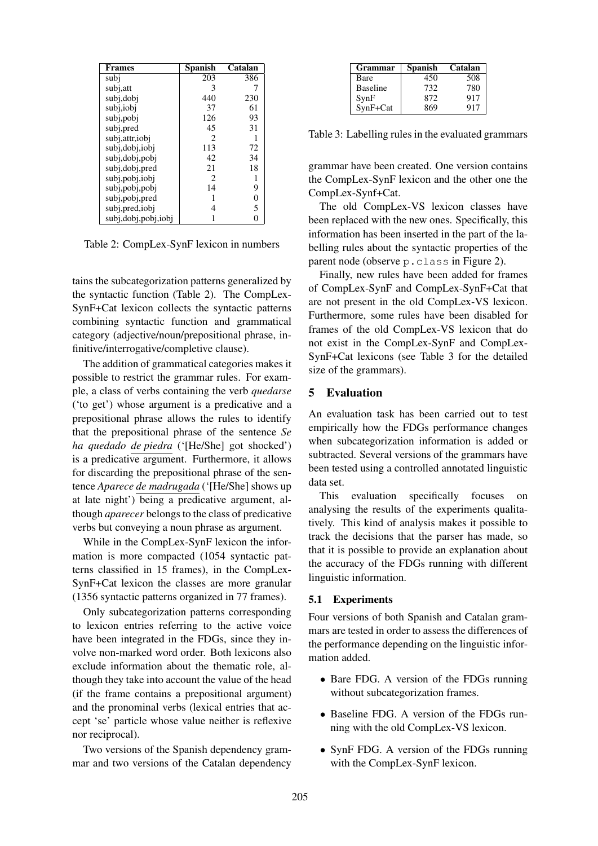| <b>Frames</b>           | <b>Spanish</b> | Catalan |
|-------------------------|----------------|---------|
| subi                    | 203            | 386     |
| subj, att               | 3              |         |
| subj,dobj               | 440            | 230     |
| subj,iobi               | 37             | 61      |
| subj, pobj              | 126            | 93      |
| subj,pred               | 45             | 31      |
| subj, attr, iobj        | $\mathfrak{D}$ | 1       |
| subj, dobj, iobj        | 113            | 72      |
| subj, dobj, pobj        | 42             | 34      |
| subj,dobj,pred          | 21             | 18      |
| subj,pobj,iobj          | $\overline{c}$ | 1       |
| subj,pobj,pobj          | 14             | 9       |
| subj,pobj,pred          | 1              | 0       |
| subj,pred,iobj          | 4              | 5       |
| subj, dobj, pobj, i obj |                |         |

Table 2: CompLex-SynF lexicon in numbers

tains the subcategorization patterns generalized by the syntactic function (Table 2). The CompLex-SynF+Cat lexicon collects the syntactic patterns combining syntactic function and grammatical category (adjective/noun/prepositional phrase, infinitive/interrogative/completive clause).

The addition of grammatical categories makes it possible to restrict the grammar rules. For example, a class of verbs containing the verb *quedarse* ('to get') whose argument is a predicative and a prepositional phrase allows the rules to identify that the prepositional phrase of the sentence *Se ha quedado de piedra* ('[He/She] got shocked') is a predicative argument. Furthermore, it allows for discarding the prepositional phrase of the sentence *Aparece de madrugada* ('[He/She] shows up at late night') being a predicative argument, although *aparecer* belongs to the class of predicative verbs but conveying a noun phrase as argument.

While in the CompLex-SynF lexicon the information is more compacted (1054 syntactic patterns classified in 15 frames), in the CompLex-SynF+Cat lexicon the classes are more granular (1356 syntactic patterns organized in 77 frames).

Only subcategorization patterns corresponding to lexicon entries referring to the active voice have been integrated in the FDGs, since they involve non-marked word order. Both lexicons also exclude information about the thematic role, although they take into account the value of the head (if the frame contains a prepositional argument) and the pronominal verbs (lexical entries that accept 'se' particle whose value neither is reflexive nor reciprocal).

Two versions of the Spanish dependency grammar and two versions of the Catalan dependency

| <b>Grammar</b>  | <b>Spanish</b> | Catalan |
|-----------------|----------------|---------|
| Bare            | 450            | 508     |
| <b>Baseline</b> | 732            | 780     |
| SynF            | 872            | 917     |
| SynF+Cat        | 869            | 917     |

Table 3: Labelling rules in the evaluated grammars

grammar have been created. One version contains the CompLex-SynF lexicon and the other one the CompLex-Synf+Cat.

The old CompLex-VS lexicon classes have been replaced with the new ones. Specifically, this information has been inserted in the part of the labelling rules about the syntactic properties of the parent node (observe p.class in Figure 2).

Finally, new rules have been added for frames of CompLex-SynF and CompLex-SynF+Cat that are not present in the old CompLex-VS lexicon. Furthermore, some rules have been disabled for frames of the old CompLex-VS lexicon that do not exist in the CompLex-SynF and CompLex-SynF+Cat lexicons (see Table 3 for the detailed size of the grammars).

### 5 Evaluation

An evaluation task has been carried out to test empirically how the FDGs performance changes when subcategorization information is added or subtracted. Several versions of the grammars have been tested using a controlled annotated linguistic data set.

This evaluation specifically focuses on analysing the results of the experiments qualitatively. This kind of analysis makes it possible to track the decisions that the parser has made, so that it is possible to provide an explanation about the accuracy of the FDGs running with different linguistic information.

#### 5.1 Experiments

Four versions of both Spanish and Catalan grammars are tested in order to assess the differences of the performance depending on the linguistic information added.

- Bare FDG. A version of the FDGs running without subcategorization frames.
- Baseline FDG. A version of the FDGs running with the old CompLex-VS lexicon.
- SynF FDG. A version of the FDGs running with the CompLex-SynF lexicon.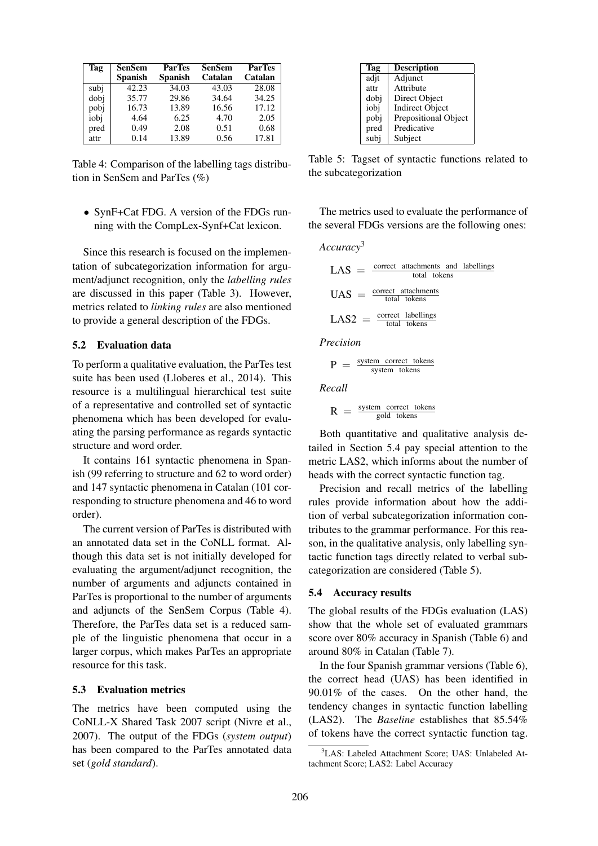| Tag  | SenSem<br><b>Spanish</b> | <b>ParTes</b><br><b>Spanish</b> | SenSem<br>Catalan | <b>ParTes</b><br>Catalan |
|------|--------------------------|---------------------------------|-------------------|--------------------------|
| subi | 42.23                    | 34.03                           | 43.03             | 28.08                    |
| dobi | 35.77                    | 29.86                           | 34.64             | 34.25                    |
| pobj | 16.73                    | 13.89                           | 16.56             | 17.12                    |
| iobj | 4.64                     | 6.25                            | 4.70              | 2.05                     |
| pred | 0.49                     | 2.08                            | 0.51              | 0.68                     |
| attr | 0.14                     | 13.89                           | 0.56              | 17.81                    |

Table 4: Comparison of the labelling tags distribution in SenSem and ParTes (%)

• SynF+Cat FDG. A version of the FDGs running with the CompLex-Synf+Cat lexicon.

Since this research is focused on the implementation of subcategorization information for argument/adjunct recognition, only the *labelling rules* are discussed in this paper (Table 3). However, metrics related to *linking rules* are also mentioned to provide a general description of the FDGs.

### 5.2 Evaluation data

To perform a qualitative evaluation, the ParTes test suite has been used (Lloberes et al., 2014). This resource is a multilingual hierarchical test suite of a representative and controlled set of syntactic phenomena which has been developed for evaluating the parsing performance as regards syntactic structure and word order.

It contains 161 syntactic phenomena in Spanish (99 referring to structure and 62 to word order) and 147 syntactic phenomena in Catalan (101 corresponding to structure phenomena and 46 to word order).

The current version of ParTes is distributed with an annotated data set in the CoNLL format. Although this data set is not initially developed for evaluating the argument/adjunct recognition, the number of arguments and adjuncts contained in ParTes is proportional to the number of arguments and adjuncts of the SenSem Corpus (Table 4). Therefore, the ParTes data set is a reduced sample of the linguistic phenomena that occur in a larger corpus, which makes ParTes an appropriate resource for this task.

#### 5.3 Evaluation metrics

The metrics have been computed using the CoNLL-X Shared Task 2007 script (Nivre et al., 2007). The output of the FDGs (*system output*) has been compared to the ParTes annotated data set (*gold standard*).

| Tag  | Description            |
|------|------------------------|
| adjt | Adjunct                |
| attr | Attribute              |
| dobj | Direct Object          |
| iobi | <b>Indirect Object</b> |
| pobj | Prepositional Object   |
| pred | Predicative            |
| subi | Subject                |

Table 5: Tagset of syntactic functions related to the subcategorization

The metrics used to evaluate the performance of the several FDGs versions are the following ones:

*Accuracy*<sup>3</sup>

$$
LAS = \frac{\text{correct attachments and labellings}}{\text{total tokens}}
$$
\n
$$
UAS = \frac{\text{correct attachments}}{\text{total tokens}}
$$
\n
$$
LAS2 = \frac{\text{correct labellings}}{\text{total tokens}}
$$

*Precision*

$$
P = \frac{\text{system correct tokens}}{\text{system tokens}}
$$

*Recall*

$$
R = \frac{\text{system correct tokens}}{\text{gold tokens}}
$$

Both quantitative and qualitative analysis detailed in Section 5.4 pay special attention to the metric LAS2, which informs about the number of heads with the correct syntactic function tag.

Precision and recall metrics of the labelling rules provide information about how the addition of verbal subcategorization information contributes to the grammar performance. For this reason, in the qualitative analysis, only labelling syntactic function tags directly related to verbal subcategorization are considered (Table 5).

#### 5.4 Accuracy results

The global results of the FDGs evaluation (LAS) show that the whole set of evaluated grammars score over 80% accuracy in Spanish (Table 6) and around 80% in Catalan (Table 7).

In the four Spanish grammar versions (Table 6), the correct head (UAS) has been identified in 90.01% of the cases. On the other hand, the tendency changes in syntactic function labelling (LAS2). The *Baseline* establishes that 85.54% of tokens have the correct syntactic function tag.

<sup>&</sup>lt;sup>3</sup>LAS: Labeled Attachment Score: UAS: Unlabeled Attachment Score; LAS2: Label Accuracy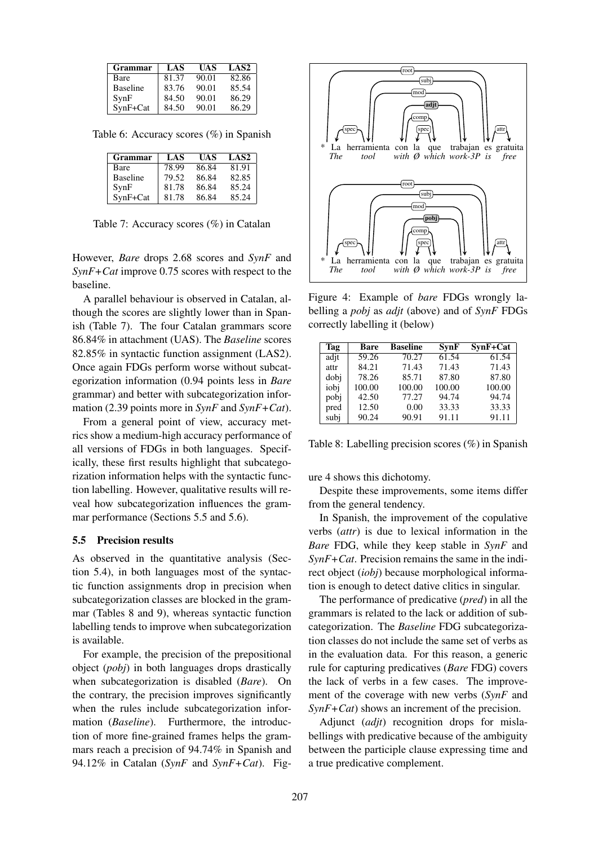| Grammar         | LAS   | UAS   | <b>LAS2</b> |
|-----------------|-------|-------|-------------|
| Bare            | 81.37 | 90.01 | 82.86       |
| <b>Baseline</b> | 83.76 | 90.01 | 85.54       |
| SynF            | 84.50 | 90.01 | 86.29       |
| SynF+Cat        | 84.50 | 90.01 | 86.29       |

Table 6: Accuracy scores (%) in Spanish

| <b>Grammar</b>  | LAS   | UAS   | <b>LAS2</b> |
|-----------------|-------|-------|-------------|
| Bare            | 78.99 | 86.84 | 81.91       |
| <b>Baseline</b> | 79.52 | 86.84 | 82.85       |
| SynF            | 81.78 | 86.84 | 85.24       |
| SynF+Cat        | 81.78 | 86.84 | 85.24       |

Table 7: Accuracy scores (%) in Catalan

However, *Bare* drops 2.68 scores and *SynF* and *SynF+Cat* improve 0.75 scores with respect to the baseline.

A parallel behaviour is observed in Catalan, although the scores are slightly lower than in Spanish (Table 7). The four Catalan grammars score 86.84% in attachment (UAS). The *Baseline* scores 82.85% in syntactic function assignment (LAS2). Once again FDGs perform worse without subcategorization information (0.94 points less in *Bare* grammar) and better with subcategorization information (2.39 points more in *SynF* and *SynF+Cat*).

From a general point of view, accuracy metrics show a medium-high accuracy performance of all versions of FDGs in both languages. Specifically, these first results highlight that subcategorization information helps with the syntactic function labelling. However, qualitative results will reveal how subcategorization influences the grammar performance (Sections 5.5 and 5.6).

#### 5.5 Precision results

As observed in the quantitative analysis (Section 5.4), in both languages most of the syntactic function assignments drop in precision when subcategorization classes are blocked in the grammar (Tables 8 and 9), whereas syntactic function labelling tends to improve when subcategorization is available.

For example, the precision of the prepositional object (*pobj*) in both languages drops drastically when subcategorization is disabled (*Bare*). On the contrary, the precision improves significantly when the rules include subcategorization information (*Baseline*). Furthermore, the introduction of more fine-grained frames helps the grammars reach a precision of 94.74% in Spanish and 94.12% in Catalan (*SynF* and *SynF+Cat*). Fig-



Figure 4: Example of *bare* FDGs wrongly labelling a *pobj* as *adjt* (above) and of *SynF* FDGs correctly labelling it (below)

| Tag  | Bare   | <b>Baseline</b> | <b>SynF</b> | $SynF+Cat$ |
|------|--------|-----------------|-------------|------------|
| adit | 59.26  | 70.27           | 61.54       | 61.54      |
| attr | 84.21  | 71.43           | 71.43       | 71.43      |
| dobi | 78.26  | 85.71           | 87.80       | 87.80      |
| iobi | 100.00 | 100.00          | 100.00      | 100.00     |
| pobj | 42.50  | 77.27           | 94.74       | 94.74      |
| pred | 12.50  | 0.00            | 33.33       | 33.33      |
| subj | 90.24  | 90.91           | 91.11       | 91.11      |

Table 8: Labelling precision scores (%) in Spanish

ure 4 shows this dichotomy.

Despite these improvements, some items differ from the general tendency.

In Spanish, the improvement of the copulative verbs (*attr*) is due to lexical information in the *Bare* FDG, while they keep stable in *SynF* and *SynF+Cat*. Precision remains the same in the indirect object (*iobj*) because morphological information is enough to detect dative clitics in singular.

The performance of predicative (*pred*) in all the grammars is related to the lack or addition of subcategorization. The *Baseline* FDG subcategorization classes do not include the same set of verbs as in the evaluation data. For this reason, a generic rule for capturing predicatives (*Bare* FDG) covers the lack of verbs in a few cases. The improvement of the coverage with new verbs (*SynF* and *SynF+Cat*) shows an increment of the precision.

Adjunct (*adjt*) recognition drops for mislabellings with predicative because of the ambiguity between the participle clause expressing time and a true predicative complement.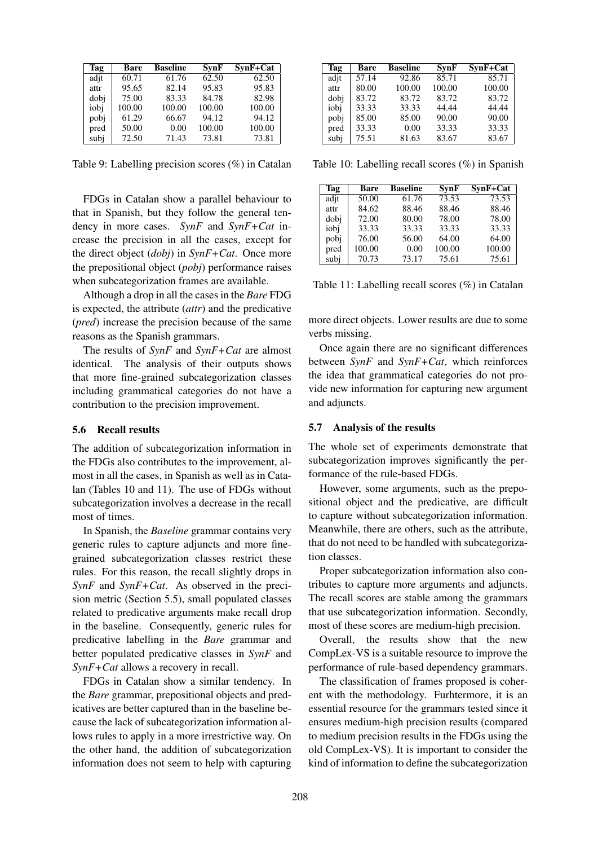| Tag  | <b>Bare</b> | <b>Baseline</b> | <b>SynF</b> | SynF+Cat |
|------|-------------|-----------------|-------------|----------|
| adit | 60.71       | 61.76           | 62.50       | 62.50    |
| attr | 95.65       | 82.14           | 95.83       | 95.83    |
| dobi | 75.00       | 83.33           | 84.78       | 82.98    |
| iobi | 100.00      | 100.00          | 100.00      | 100.00   |
| pobi | 61.29       | 66.67           | 94.12       | 94.12    |
| pred | 50.00       | 0.00            | 100.00      | 100.00   |
| subj | 72.50       | 71.43           | 73.81       | 73.81    |

Table 9: Labelling precision scores (%) in Catalan

FDGs in Catalan show a parallel behaviour to that in Spanish, but they follow the general tendency in more cases. *SynF* and *SynF+Cat* increase the precision in all the cases, except for the direct object (*dobj*) in *SynF+Cat*. Once more the prepositional object (*pobj*) performance raises when subcategorization frames are available.

Although a drop in all the cases in the *Bare* FDG is expected, the attribute (*attr*) and the predicative (*pred*) increase the precision because of the same reasons as the Spanish grammars.

The results of *SynF* and *SynF+Cat* are almost identical. The analysis of their outputs shows that more fine-grained subcategorization classes including grammatical categories do not have a contribution to the precision improvement.

#### 5.6 Recall results

The addition of subcategorization information in the FDGs also contributes to the improvement, almost in all the cases, in Spanish as well as in Catalan (Tables 10 and 11). The use of FDGs without subcategorization involves a decrease in the recall most of times.

In Spanish, the *Baseline* grammar contains very generic rules to capture adjuncts and more finegrained subcategorization classes restrict these rules. For this reason, the recall slightly drops in *SynF* and *SynF+Cat*. As observed in the precision metric (Section 5.5), small populated classes related to predicative arguments make recall drop in the baseline. Consequently, generic rules for predicative labelling in the *Bare* grammar and better populated predicative classes in *SynF* and *SynF+Cat* allows a recovery in recall.

FDGs in Catalan show a similar tendency. In the *Bare* grammar, prepositional objects and predicatives are better captured than in the baseline because the lack of subcategorization information allows rules to apply in a more irrestrictive way. On the other hand, the addition of subcategorization information does not seem to help with capturing

| Tag  | Bare  | <b>Baseline</b> | <b>SynF</b> | SynF+Cat |
|------|-------|-----------------|-------------|----------|
| adit | 57.14 | 92.86           | 85.71       | 85.71    |
| attr | 80.00 | 100.00          | 100.00      | 100.00   |
| dobi | 83.72 | 83.72           | 83.72       | 83.72    |
| iobi | 33.33 | 33.33           | 44.44       | 44.44    |
| pobj | 85.00 | 85.00           | 90.00       | 90.00    |
| pred | 33.33 | 0.00            | 33.33       | 33.33    |
| subj | 75.51 | 81.63           | 83.67       | 83.67    |

Table 10: Labelling recall scores (%) in Spanish

| Tag  | <b>Bare</b> | <b>Baseline</b> | SvnF   | SynF+Cat |
|------|-------------|-----------------|--------|----------|
| adit | 50.00       | 61.76           | 73.53  | 73.53    |
| attr | 84.62       | 88.46           | 88.46  | 88.46    |
| dobi | 72.00       | 80.00           | 78.00  | 78.00    |
| iobi | 33.33       | 33.33           | 33.33  | 33.33    |
| pobj | 76.00       | 56.00           | 64.00  | 64.00    |
| pred | 100.00      | 0.00            | 100.00 | 100.00   |
| subj | 70.73       | 73.17           | 75.61  | 75.61    |

Table 11: Labelling recall scores (%) in Catalan

more direct objects. Lower results are due to some verbs missing.

Once again there are no significant differences between *SynF* and *SynF+Cat*, which reinforces the idea that grammatical categories do not provide new information for capturing new argument and adjuncts.

#### 5.7 Analysis of the results

The whole set of experiments demonstrate that subcategorization improves significantly the performance of the rule-based FDGs.

However, some arguments, such as the prepositional object and the predicative, are difficult to capture without subcategorization information. Meanwhile, there are others, such as the attribute, that do not need to be handled with subcategorization classes.

Proper subcategorization information also contributes to capture more arguments and adjuncts. The recall scores are stable among the grammars that use subcategorization information. Secondly, most of these scores are medium-high precision.

Overall, the results show that the new CompLex-VS is a suitable resource to improve the performance of rule-based dependency grammars.

The classification of frames proposed is coherent with the methodology. Furhtermore, it is an essential resource for the grammars tested since it ensures medium-high precision results (compared to medium precision results in the FDGs using the old CompLex-VS). It is important to consider the kind of information to define the subcategorization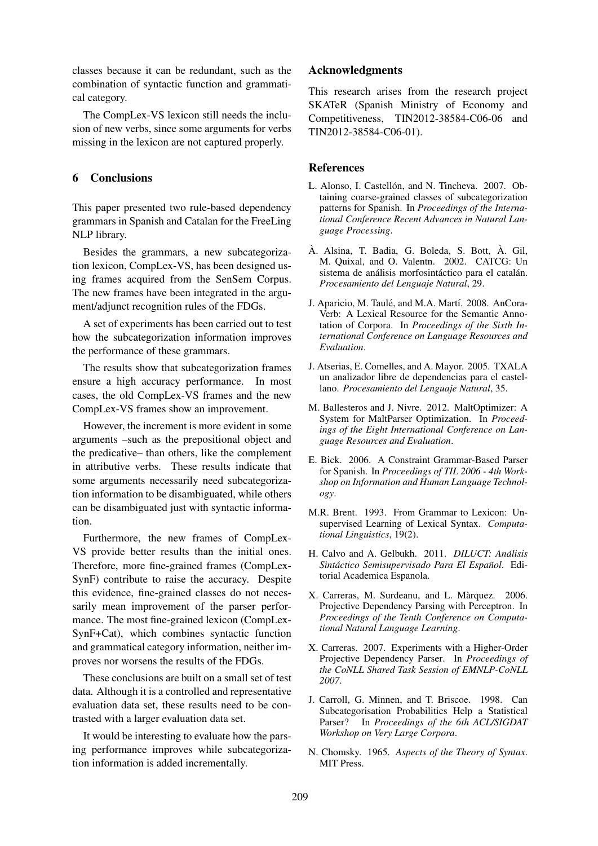classes because it can be redundant, such as the combination of syntactic function and grammatical category.

The CompLex-VS lexicon still needs the inclusion of new verbs, since some arguments for verbs missing in the lexicon are not captured properly.

### 6 Conclusions

This paper presented two rule-based dependency grammars in Spanish and Catalan for the FreeLing NLP library.

Besides the grammars, a new subcategorization lexicon, CompLex-VS, has been designed using frames acquired from the SenSem Corpus. The new frames have been integrated in the argument/adjunct recognition rules of the FDGs.

A set of experiments has been carried out to test how the subcategorization information improves the performance of these grammars.

The results show that subcategorization frames ensure a high accuracy performance. In most cases, the old CompLex-VS frames and the new CompLex-VS frames show an improvement.

However, the increment is more evident in some arguments –such as the prepositional object and the predicative– than others, like the complement in attributive verbs. These results indicate that some arguments necessarily need subcategorization information to be disambiguated, while others can be disambiguated just with syntactic information.

Furthermore, the new frames of CompLex-VS provide better results than the initial ones. Therefore, more fine-grained frames (CompLex-SynF) contribute to raise the accuracy. Despite this evidence, fine-grained classes do not necessarily mean improvement of the parser performance. The most fine-grained lexicon (CompLex-SynF+Cat), which combines syntactic function and grammatical category information, neither improves nor worsens the results of the FDGs.

These conclusions are built on a small set of test data. Although it is a controlled and representative evaluation data set, these results need to be contrasted with a larger evaluation data set.

It would be interesting to evaluate how the parsing performance improves while subcategorization information is added incrementally.

### Acknowledgments

This research arises from the research project SKATeR (Spanish Ministry of Economy and Competitiveness, TIN2012-38584-C06-06 and TIN2012-38584-C06-01).

### References

- L. Alonso, I. Castellón, and N. Tincheva. 2007. Obtaining coarse-grained classes of subcategorization patterns for Spanish. In *Proceedings of the International Conference Recent Advances in Natural Language Processing*.
- À. Alsina, T. Badia, G. Boleda, S. Bott, À. Gil, M. Quixal, and O. Valentn. 2002. CATCG: Un sistema de análisis morfosintáctico para el catalán. *Procesamiento del Lenguaje Natural*, 29.
- J. Aparicio, M. Taulé, and M.A. Martí. 2008. AnCora-Verb: A Lexical Resource for the Semantic Annotation of Corpora. In *Proceedings of the Sixth International Conference on Language Resources and Evaluation*.
- J. Atserias, E. Comelles, and A. Mayor. 2005. TXALA un analizador libre de dependencias para el castellano. *Procesamiento del Lenguaje Natural*, 35.
- M. Ballesteros and J. Nivre. 2012. MaltOptimizer: A System for MaltParser Optimization. In *Proceedings of the Eight International Conference on Language Resources and Evaluation*.
- E. Bick. 2006. A Constraint Grammar-Based Parser for Spanish. In *Proceedings of TIL 2006 - 4th Workshop on Information and Human Language Technology*.
- M.R. Brent. 1993. From Grammar to Lexicon: Unsupervised Learning of Lexical Syntax. *Computational Linguistics*, 19(2).
- H. Calvo and A. Gelbukh. 2011. *DILUCT: Analisis ´*  $Sintáctico Semisupervisado Para El Español. Edi$ torial Academica Espanola.
- X. Carreras, M. Surdeanu, and L. Màrquez. 2006. Projective Dependency Parsing with Perceptron. In *Proceedings of the Tenth Conference on Computational Natural Language Learning*.
- X. Carreras. 2007. Experiments with a Higher-Order Projective Dependency Parser. In *Proceedings of the CoNLL Shared Task Session of EMNLP-CoNLL 2007*.
- J. Carroll, G. Minnen, and T. Briscoe. 1998. Can Subcategorisation Probabilities Help a Statistical Parser? In *Proceedings of the 6th ACL/SIGDAT Workshop on Very Large Corpora*.
- N. Chomsky. 1965. *Aspects of the Theory of Syntax*. MIT Press.